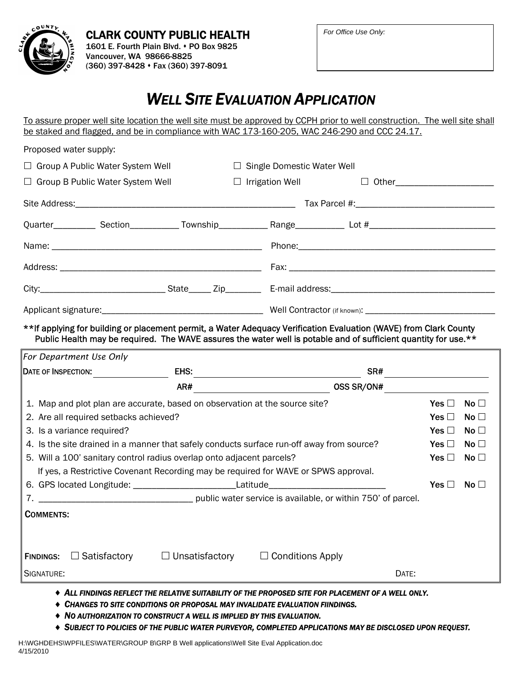

## *WELL SITE EVALUATION APPLICATION*

To assure proper well site location the well site must be approved by CCPH prior to well construction. The well site shall be staked and flagged, and be in compliance with WAC 173-160-205, WAC 246-290 and CCC 24.17.

| Proposed water supply:                                                                                                                                                                                                                |                                        |                                                                                           |                                   |                         |       |                                |              |  |
|---------------------------------------------------------------------------------------------------------------------------------------------------------------------------------------------------------------------------------------|----------------------------------------|-------------------------------------------------------------------------------------------|-----------------------------------|-------------------------|-------|--------------------------------|--------------|--|
| Group A Public Water System Well<br>$\Box$                                                                                                                                                                                            |                                        |                                                                                           | $\Box$ Single Domestic Water Well |                         |       |                                |              |  |
| Group B Public Water System Well                                                                                                                                                                                                      |                                        |                                                                                           |                                   | $\Box$ Irrigation Well  |       | □ Other_______________________ |              |  |
|                                                                                                                                                                                                                                       |                                        |                                                                                           |                                   |                         |       |                                |              |  |
|                                                                                                                                                                                                                                       |                                        |                                                                                           |                                   |                         |       |                                |              |  |
|                                                                                                                                                                                                                                       |                                        |                                                                                           |                                   |                         |       |                                |              |  |
|                                                                                                                                                                                                                                       |                                        |                                                                                           |                                   |                         |       |                                |              |  |
|                                                                                                                                                                                                                                       |                                        |                                                                                           |                                   |                         |       |                                |              |  |
|                                                                                                                                                                                                                                       |                                        |                                                                                           |                                   |                         |       |                                |              |  |
| ** If applying for building or placement permit, a Water Adequacy Verification Evaluation (WAVE) from Clark County<br>Public Health may be required. The WAVE assures the water well is potable and of sufficient quantity for use.** |                                        |                                                                                           |                                   |                         |       |                                |              |  |
| For Department Use Only                                                                                                                                                                                                               |                                        |                                                                                           |                                   |                         |       |                                |              |  |
|                                                                                                                                                                                                                                       |                                        |                                                                                           |                                   |                         |       |                                |              |  |
|                                                                                                                                                                                                                                       |                                        |                                                                                           |                                   |                         |       |                                |              |  |
|                                                                                                                                                                                                                                       |                                        | AR#                                                                                       |                                   |                         |       |                                |              |  |
|                                                                                                                                                                                                                                       |                                        | 1. Map and plot plan are accurate, based on observation at the source site?               |                                   |                         |       | Yes $\Box$                     | No $\square$ |  |
|                                                                                                                                                                                                                                       | 2. Are all required setbacks achieved? |                                                                                           |                                   |                         |       | Yes $\Box$                     | No $\Box$    |  |
| 3. Is a variance required?                                                                                                                                                                                                            |                                        |                                                                                           |                                   |                         |       | Yes $\Box$                     | No $\Box$    |  |
|                                                                                                                                                                                                                                       |                                        | 4. Is the site drained in a manner that safely conducts surface run-off away from source? |                                   |                         |       | Yes $\Box$                     | No $\square$ |  |
|                                                                                                                                                                                                                                       |                                        | 5. Will a 100' sanitary control radius overlap onto adjacent parcels?                     |                                   |                         |       | Yes $\Box$                     | No $\square$ |  |
|                                                                                                                                                                                                                                       |                                        | If yes, a Restrictive Covenant Recording may be required for WAVE or SPWS approval.       |                                   |                         |       |                                |              |  |
|                                                                                                                                                                                                                                       |                                        | 6. GPS located Longitude: ___________________________Latitude___________________          |                                   |                         |       | Yes $\Box$                     | No $\Box$    |  |
|                                                                                                                                                                                                                                       |                                        |                                                                                           |                                   |                         |       |                                |              |  |
| <b>COMMENTS:</b>                                                                                                                                                                                                                      |                                        |                                                                                           |                                   |                         |       |                                |              |  |
|                                                                                                                                                                                                                                       |                                        |                                                                                           |                                   |                         |       |                                |              |  |
|                                                                                                                                                                                                                                       |                                        |                                                                                           |                                   |                         |       |                                |              |  |
| <b>FINDINGS:</b>                                                                                                                                                                                                                      | $\Box$ Satisfactory                    | $\Box$ Unsatisfactory                                                                     |                                   | $\Box$ Conditions Apply |       |                                |              |  |
| SIGNATURE:                                                                                                                                                                                                                            |                                        |                                                                                           |                                   |                         | DATE: |                                |              |  |

- ♦ *CHANGES TO SITE CONDITIONS OR PROPOSAL MAY INVALIDATE EVALUATION FIINDINGS.*
- ♦ *NO AUTHORIZATION TO CONSTRUCT A WELL IS IMPLIED BY THIS EVALUATION.*

♦ *SUBJECT TO POLICIES OF THE PUBLIC WATER PURVEYOR, COMPLETED APPLICATIONS MAY BE DISCLOSED UPON REQUEST.*